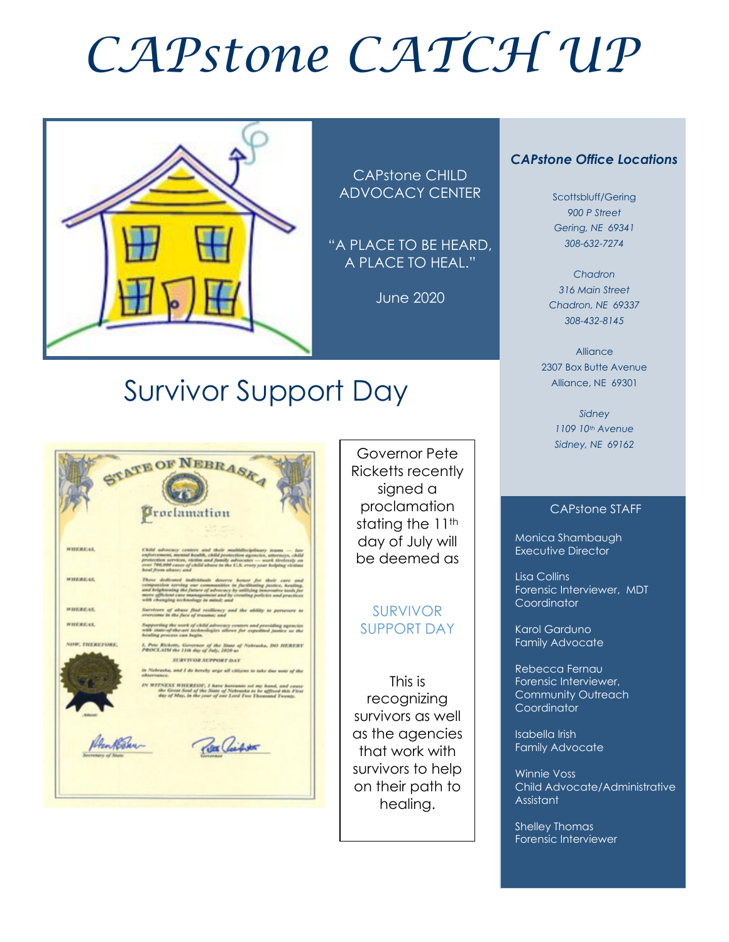# *CAPstone CATCH UP*



CAPstone CHILD ADVOCACY CENTER

"A PLACE TO BE HEARD, A PLACE TO HEAL."

June 2020

#### *CAPstone Office Locations*

Scottsbluff/Gering *900 P Street Gering, NE 69341 308-632-7274*

*Chadron 316 Main Street Chadron, NE 69337 308-432-8145*

Alliance 2307 Box Butte Avenue Alliance, NE 69301

> *Sidney 1109 10th Avenue Sidney, NE 69162*

#### CAPstone STAFF

Monica Shambaugh Executive Director

Lisa Collins Forensic Interviewer, MDT **Coordinator** 

Karol Garduno Family Advocate

Rebecca Fernau Forensic Interviewer, Community Outreach **Coordinator** 

Isabella Irish Family Advocate

Winnie Voss Child Advocate/Administrative Assistant

Shelley Thomas Forensic Interviewer

## Survivor Support Day



Governor Pete Ricketts recently signed a proclamation stating the 11<sup>th</sup> day of July will be deemed as

#### SURVIVOR SUPPORT DAY

This is recognizing survivors as well as the agencies that work with survivors to help on their path to healing.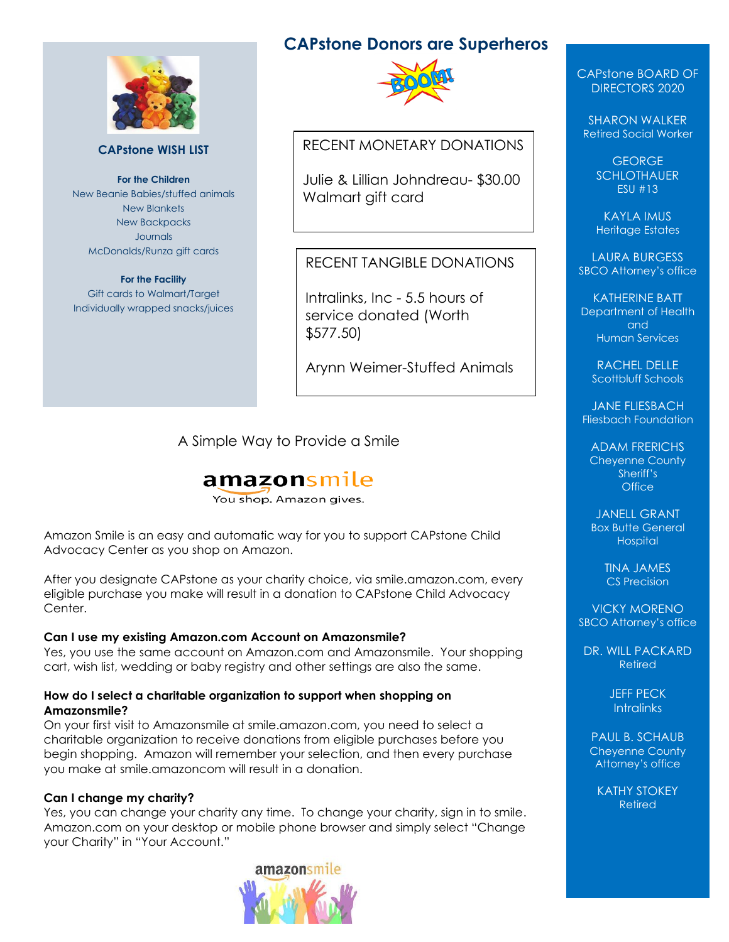

#### **CAPstone WISH LIST**

**For the Children** New Beanie Babies/stuffed animals New Blankets New Backpacks Journals McDonalds/Runza gift cards

#### **For the Facility**

Gift cards to Walmart/Target Individually wrapped snacks/juices

### **CAPstone Donors are Superheros**



#### RECENT MONETARY DONATIONS

Julie & Lillian Johndreau- \$30.00 Walmart gift card

#### RECENT TANGIBLE DONATIONS

Intralinks, Inc - 5.5 hours of service donated (Worth \$577.50)

Arynn Weimer-Stuffed Animals

A Simple Way to Provide a Smile

### **amazon**smile

You shop. Amazon gives.

Amazon Smile is an easy and automatic way for you to support CAPstone Child Advocacy Center as you shop on Amazon.

After you designate CAPstone as your charity choice, via smile.amazon.com, every eligible purchase you make will result in a donation to CAPstone Child Advocacy Center.

#### **Can I use my existing Amazon.com Account on Amazonsmile?**

Yes, you use the same account on Amazon.com and Amazonsmile. Your shopping cart, wish list, wedding or baby registry and other settings are also the same.

#### **How do I select a charitable organization to support when shopping on Amazonsmile?**

On your first visit to Amazonsmile at smile.amazon.com, you need to select a charitable organization to receive donations from eligible purchases before you begin shopping. Amazon will remember your selection, and then every purchase you make at smile.amazoncom will result in a donation.

#### **Can I change my charity?**

Yes, you can change your charity any time. To change your charity, sign in to smile. Amazon.com on your desktop or mobile phone browser and simply select "Change your Charity" in "Your Account."



CAPstone BOARD OF DIRECTORS 2020

SHARON WALKER Retired Social Worker

> GEORGE **SCHLOTHAUER** ESU #13

KAYLA IMUS Heritage Estates

LAURA BURGESS SBCO Attorney's office

KATHERINE BATT Department of Health and Human Services

RACHEL DELLE Scottbluff Schools

JANE FLIESBACH Fliesbach Foundation

ADAM FRERICHS Cheyenne County Sheriff's **Office** 

JANELL GRANT Box Butte General **Hospital** 

> TINA JAMES CS Precision

VICKY MORENO SBCO Attorney's office

DR. WILL PACKARD Retired

> JEFF PECK **Intralinks**

PAUL B. SCHAUB Cheyenne County Attorney's office

KATHY STOKEY Retired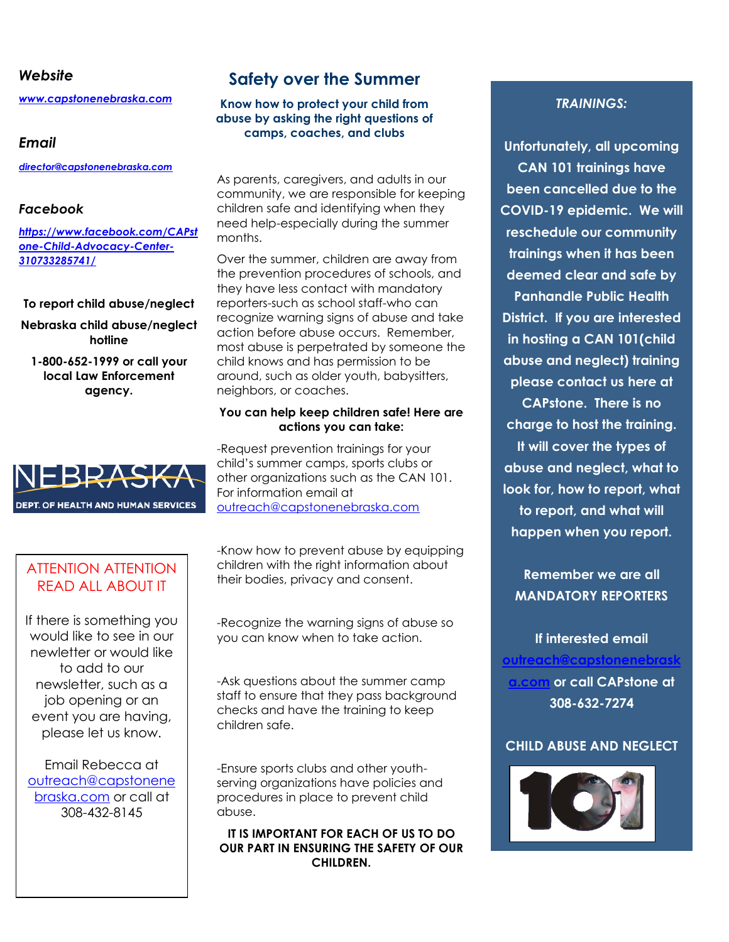#### *Website*

*[www.capstonenebraska.com](http://www.capstonenebraska.com/)*

#### *Email*

*[director@capstonenebraska.com](mailto:director@capstonenebraska.com)*

#### *Facebook*

*[https://www.facebook.com/CAPst](https://www.facebook.com/CAPstone-Child-Advocacy-Center-310733285741/) [one-Child-Advocacy-Center-](https://www.facebook.com/CAPstone-Child-Advocacy-Center-310733285741/)[310733285741/](https://www.facebook.com/CAPstone-Child-Advocacy-Center-310733285741/)*

#### **To report child abuse/neglect**

**Nebraska child abuse/neglect hotline**

**1-800-652-1999 or call your local Law Enforcement agency.**



#### ATTENTION ATTENTION READ ALL ABOUT IT

If there is something you would like to see in our newletter or would like to add to our newsletter, such as a job opening or an event you are having, please let us know.

Email Rebecca at [outreach@capstonene](mailto:outreach@capstonenebraska.com) [braska.com](mailto:outreach@capstonenebraska.com) or call at 308-432-8145

Page 2

### **Safety over the Summer**

#### **Know how to protect your child from abuse by asking the right questions of camps, coaches, and clubs**

As parents, caregivers, and adults in our community, we are responsible for keeping children safe and identifying when they need help-especially during the summer months.

Over the summer, children are away from the prevention procedures of schools, and they have less contact with mandatory reporters-such as school staff-who can recognize warning signs of abuse and take action before abuse occurs. Remember, most abuse is perpetrated by someone the child knows and has permission to be around, such as older youth, babysitters, neighbors, or coaches.

#### **You can help keep children safe! Here are actions you can take:**

-Request prevention trainings for your child's summer camps, sports clubs or other organizations such as the CAN 101. For information email at [outreach@capstonenebraska.com](mailto:outreach@capstonenebraska.com)

-Know how to prevent abuse by equipping children with the right information about their bodies, privacy and consent.

-Recognize the warning signs of abuse so you can know when to take action.

-Ask questions about the summer camp staff to ensure that they pass background checks and have the training to keep children safe.

-Ensure sports clubs and other youthserving organizations have policies and procedures in place to prevent child abuse.

**IT IS IMPORTANT FOR EACH OF US TO DO OUR PART IN ENSURING THE SAFETY OF OUR CHILDREN.**

#### *TRAININGS:*

**Unfortunately, all upcoming CAN 101 trainings have been cancelled due to the COVID-19 epidemic. We will reschedule our community trainings when it has been deemed clear and safe by Panhandle Public Health District. If you are interested in hosting a CAN 101(child abuse and neglect) training please contact us here at CAPstone. There is no charge to host the training. It will cover the types of abuse and neglect, what to look for, how to report, what to report, and what will happen when you report.** 

**Remember we are all MANDATORY REPORTERS**

**If interested email [outreach@capstonenebrask](mailto:outreach@capstonenebraska.com) [a.com](mailto:outreach@capstonenebraska.com) or call CAPstone at 308-632-7274**

#### **CHILD ABUSE AND NEGLECT**

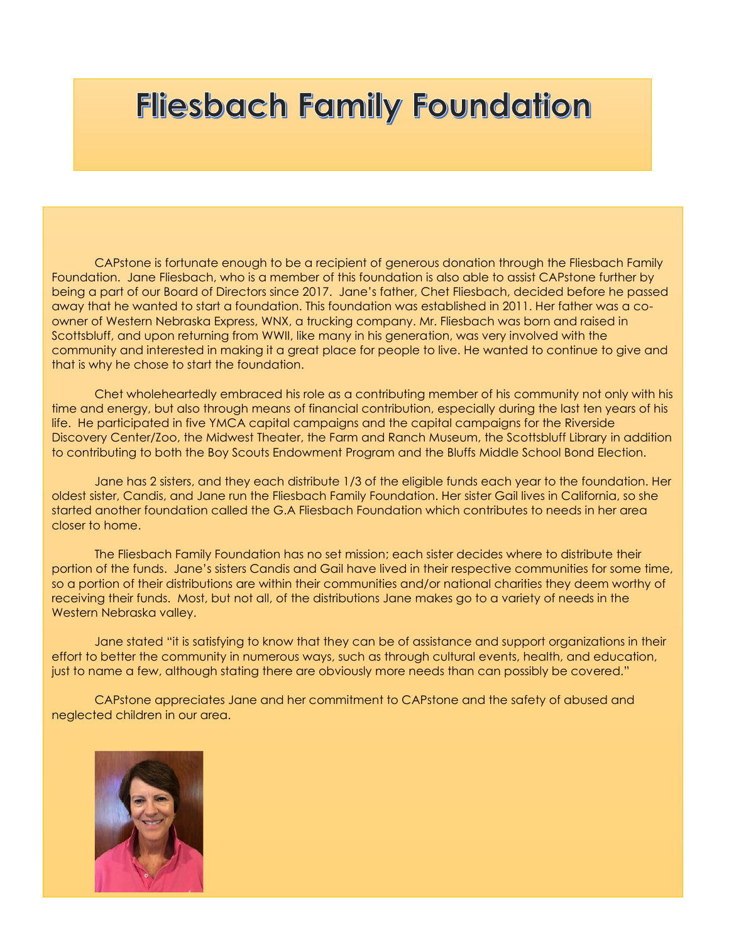# **Fliesbach Family Foundation**

CAPstone is fortunate enough to be a recipient of generous donation through the Fliesbach Family Foundation. Jane Fliesbach, who is a member of this foundation is also able to assist CAPstone further by being a part of our Board of Directors since 2017. Jane's father, Chet Fliesbach, decided before he passed away that he wanted to start a foundation. This foundation was established in 2011. Her father was a coowner of Western Nebraska Express, WNX, a trucking company. Mr. Fliesbach was born and raised in Scottsbluff, and upon returning from WWII, like many in his generation, was very involved with the community and interested in making it a great place for people to live. He wanted to continue to give and that is why he chose to start the foundation.

Chet wholeheartedly embraced his role as a contributing member of his community not only with his time and energy, but also through means of financial contribution, especially during the last ten years of his life. He participated in five YMCA capital campaigns and the capital campaigns for the Riverside Discovery Center/Zoo, the Midwest Theater, the Farm and Ranch Museum, the Scottsbluff Library in addition to contributing to both the Boy Scouts Endowment Program and the Bluffs Middle School Bond Election.

Jane has 2 sisters, and they each distribute 1/3 of the eligible funds each year to the foundation. Her oldest sister, Candis, and Jane run the Fliesbach Family Foundation. Her sister Gail lives in California, so she started another foundation called the G.A Fliesbach Foundation which contributes to needs in her area closer to home.

The Fliesbach Family Foundation has no set mission; each sister decides where to distribute their portion of the funds. Jane's sisters Candis and Gail have lived in their respective communities for some time, so a portion of their distributions are within their communities and/or national charities they deem worthy of receiving their funds. Most, but not all, of the distributions Jane makes go to a variety of needs in the Western Nebraska valley.

Jane stated "it is satisfying to know that they can be of assistance and support organizations in their effort to better the community in numerous ways, such as through cultural events, health, and education, just to name a few, although stating there are obviously more needs than can possibly be covered."

CAPstone appreciates Jane and her commitment to CAPstone and the safety of abused and neglected children in our area.

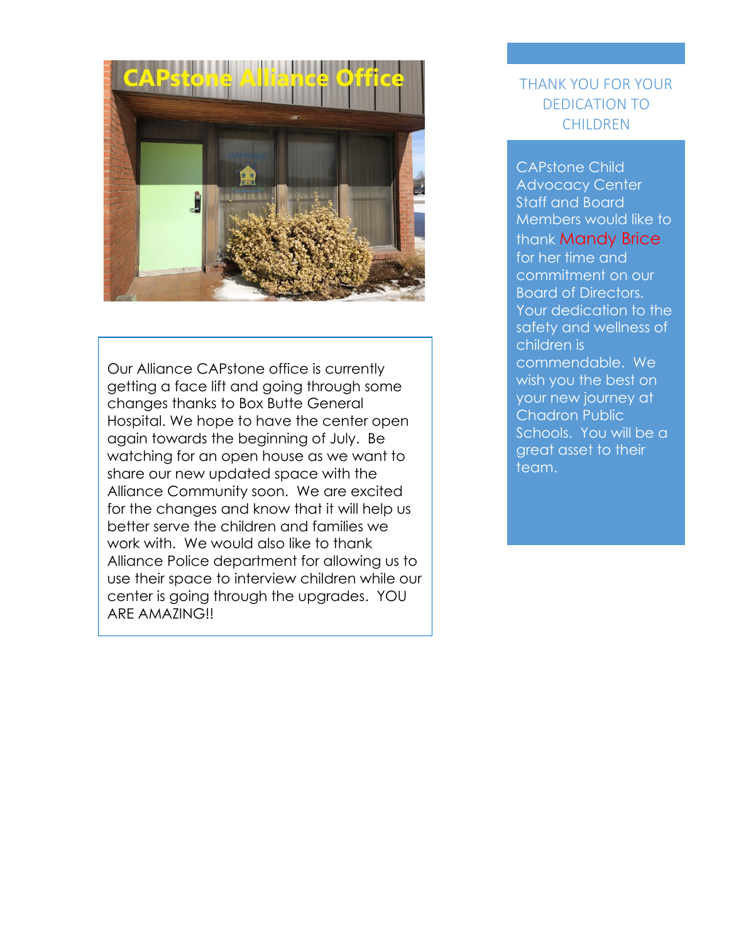

Our Alliance CAPstone office is currently getting a face lift and going through some changes thanks to Box Butte General Hospital. We hope to have the center open again towards the beginning of July. Be watching for an open house as we want to share our new updated space with the Alliance Community soon. We are excited for the changes and know that it will help us better serve the children and families we work with. We would also like to thank Alliance Police department for allowing us to use their space to interview children while our center is going through the upgrades. YOU ARE AMAZING!!

### THANK YOU FOR YOUR DEDICATION TO **CHILDREN**

CAPstone Child Advocacy Center Staff and Board Members would like to thank Mandy Brice for her time and commitment on our Board of Directors. Your dedication to the safety and wellness of children is commendable. We wish you the best on your new journey at Chadron Public Schools. You will be a great asset to their team.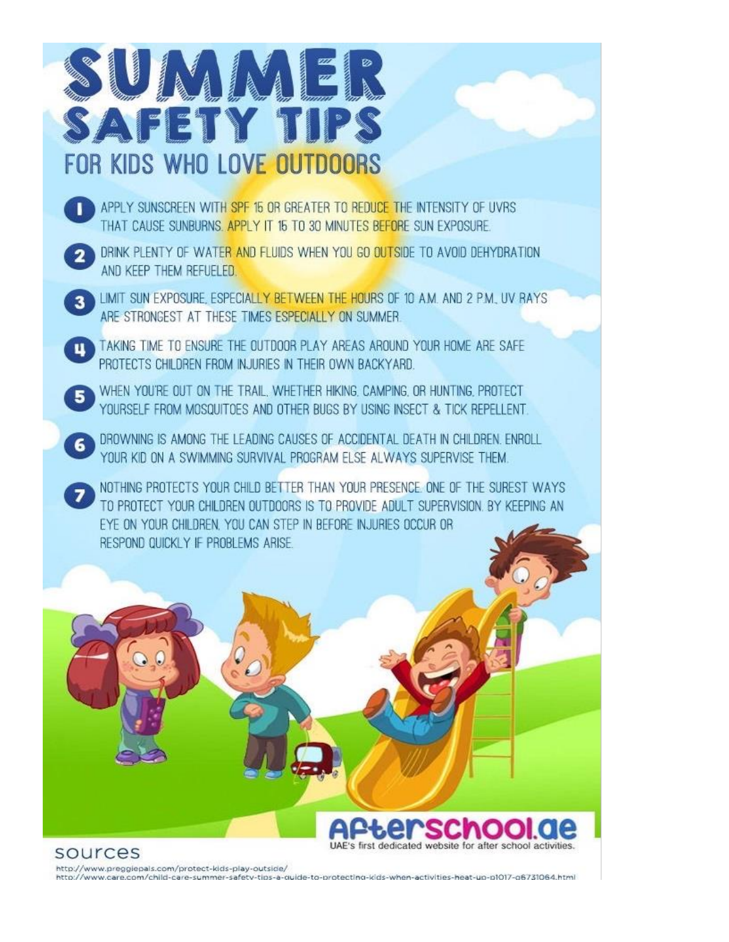

- APPLY SUNSCREEN WITH SPF 15 OR GREATER TO REDUCE THE INTENSITY OF UVRS. THAT CAUSE SUNBURNS, APPLY IT 15 TO 30 MINUTES BEFORE SUN EXPOSURE.
- DRINK PLENTY OF WATER AND FLUIDS WHEN YOU GO OUTSIDE TO AVOID DEHYDRATION AND KEEP THEM REFUELED.
- LIMIT SUN EXPOSURE, ESPECIALLY BETWEEN THE HOURS OF 10 AM, AND 2 PM, UV RAYS ARE STRONGEST AT THESE TIMES ESPECIALLY ON SUMMER.
- TAKING TIME TO ENSURE THE OUTDOOR PLAY AREAS AROUND YOUR HOME ARE SAFE PROTECTS CHILDREN FROM INJURIES IN THEIR OWN BACKYARD.
- WHEN YOU'RE OUT ON THE TRAIL, WHETHER HIKING, CAMPING, OR HUNTING, PROTECT YOURSELF FROM MOSQUITOES AND OTHER BUGS BY USING INSECT & TICK REPELLENT.
- DROWNING IS AMONG THE LEADING CAUSES OF ACCIDENTAL DEATH IN CHILDREN. ENROLL YOUR KID ON A SWIMMING SURVIVAL PROGRAM ELSE ALWAYS SUPERVISE THEM.
	- NOTHING PROTECTS YOUR CHILD BETTER THAN YOUR PRESENCE. ONE OF THE SUREST WAYS TO PROTECT YOUR CHILDREN OUTDOORS IS TO PROVIDE ADULT SUPERVISION, BY KEEPING AN EYE ON YOUR CHILDREN, YOU CAN STEP IN BEFORE INJURIES OCCUR OR RESPOND QUICKLY IF PROBLEMS ARISE.



http://www.preggiepals.com/protect-kids-play-outside/

http://www.care.com/child-care-summer-safety-tips-a-quide-to-protecting-kids-when-activities-heat-up-p1017-g6731064.html